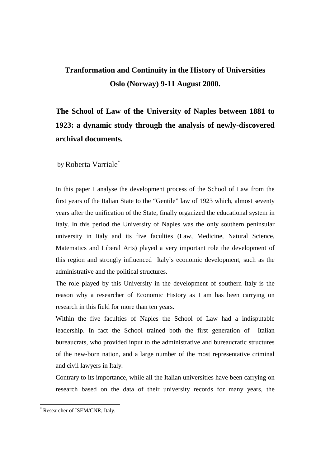## **Tranformation and Continuity in the History of Universities Oslo (Norway) 9-11 August 2000.**

## **The School of Law of the University of Naples between 1881 to 1923: a dynamic study through the analysis of newly-discovered archival documents.**

by Roberta Varriale\*

In this paper I analyse the development process of the School of Law from the first years of the Italian State to the "Gentile" law of 1923 which, almost seventy years after the unification of the State, finally organized the educational system in Italy. In this period the University of Naples was the only southern peninsular university in Italy and its five faculties (Law, Medicine, Natural Science, Matematics and Liberal Arts) played a very important role the development of this region and strongly influenced Italy's economic development, such as the administrative and the political structures.

The role played by this University in the development of southern Italy is the reason why a researcher of Economic History as I am has been carrying on research in this field for more than ten years.

Within the five faculties of Naples the School of Law had a indisputable leadership. In fact the School trained both the first generation of Italian bureaucrats, who provided input to the administrative and bureaucratic structures of the new-born nation, and a large number of the most representative criminal and civil lawyers in Italy.

Contrary to its importance, while all the Italian universities have been carrying on research based on the data of their university records for many years, the

 $\overline{a}$ 

<sup>\*</sup> Researcher of ISEM/CNR, Italy.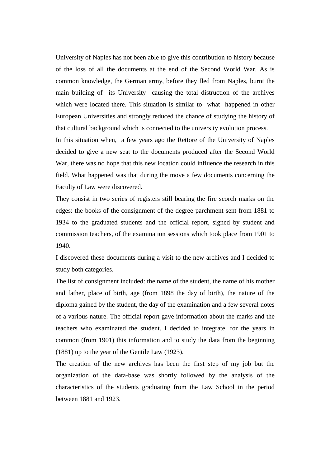University of Naples has not been able to give this contribution to history because of the loss of all the documents at the end of the Second World War. As is common knowledge, the German army, before they fled from Naples, burnt the main building of its University causing the total distruction of the archives which were located there. This situation is similar to what happened in other European Universities and strongly reduced the chance of studying the history of that cultural background which is connected to the university evolution process.

In this situation when, a few years ago the Rettore of the University of Naples decided to give a new seat to the documents produced after the Second World War, there was no hope that this new location could influence the research in this field. What happened was that during the move a few documents concerning the Faculty of Law were discovered.

They consist in two series of registers still bearing the fire scorch marks on the edges: the books of the consignment of the degree parchment sent from 1881 to 1934 to the graduated students and the official report, signed by student and commission teachers, of the examination sessions which took place from 1901 to 1940.

I discovered these documents during a visit to the new archives and I decided to study both categories.

The list of consignment included: the name of the student, the name of his mother and father, place of birth, age (from 1898 the day of birth), the nature of the diploma gained by the student, the day of the examination and a few several notes of a various nature. The official report gave information about the marks and the teachers who examinated the student. I decided to integrate, for the years in common (from 1901) this information and to study the data from the beginning (1881) up to the year of the Gentile Law (1923).

The creation of the new archives has been the first step of my job but the organization of the data-base was shortly followed by the analysis of the characteristics of the students graduating from the Law School in the period between 1881 and 1923.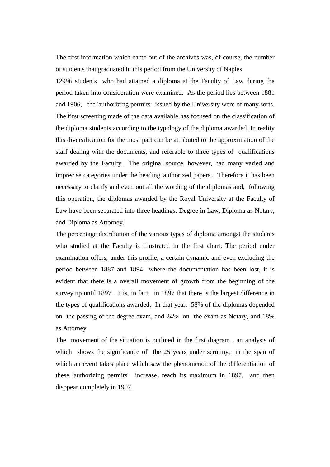The first information which came out of the archives was, of course, the number of students that graduated in this period from the University of Naples.

12996 students who had attained a diploma at the Faculty of Law during the period taken into consideration were examined. As the period lies between 1881 and 1906, the 'authorizing permits' issued by the University were of many sorts. The first screening made of the data available has focused on the classification of the diploma students according to the typology of the diploma awarded. In reality this diversification for the most part can be attributed to the approximation of the staff dealing with the documents, and referable to three types of qualifications awarded by the Faculty. The original source, however, had many varied and imprecise categories under the heading 'authorized papers'. Therefore it has been necessary to clarify and even out all the wording of the diplomas and, following this operation, the diplomas awarded by the Royal University at the Faculty of Law have been separated into three headings: Degree in Law, Diploma as Notary, and Diploma as Attorney.

The percentage distribution of the various types of diploma amongst the students who studied at the Faculty is illustrated in the first chart. The period under examination offers, under this profile, a certain dynamic and even excluding the period between 1887 and 1894 where the documentation has been lost, it is evident that there is a overall movement of growth from the beginning of the survey up until 1897. It is, in fact, in 1897 that there is the largest difference in the types of qualifications awarded. In that year, 58% of the diplomas depended on the passing of the degree exam, and 24% on the exam as Notary, and 18% as Attorney.

The movement of the situation is outlined in the first diagram , an analysis of which shows the significance of the 25 years under scrutiny, in the span of which an event takes place which saw the phenomenon of the differentiation of these 'authorizing permits' increase, reach its maximum in 1897, and then disppear completely in 1907.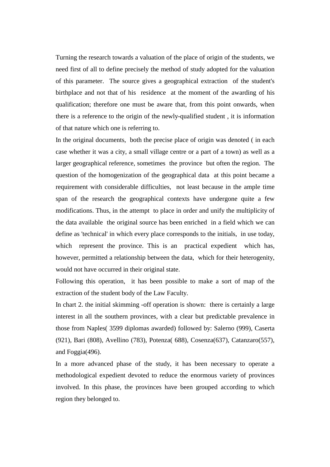Turning the research towards a valuation of the place of origin of the students, we need first of all to define precisely the method of study adopted for the valuation of this parameter. The source gives a geographical extraction of the student's birthplace and not that of his residence at the moment of the awarding of his qualification; therefore one must be aware that, from this point onwards, when there is a reference to the origin of the newly-qualified student , it is information of that nature which one is referring to.

In the original documents, both the precise place of origin was denoted ( in each case whether it was a city, a small village centre or a part of a town) as well as a larger geographical reference, sometimes the province but often the region. The question of the homogenization of the geographical data at this point became a requirement with considerable difficulties, not least because in the ample time span of the research the geographical contexts have undergone quite a few modifications. Thus, in the attempt to place in order and unify the multiplicity of the data available the original source has been enriched in a field which we can define as 'technical' in which every place corresponds to the initials, in use today, which represent the province. This is an practical expedient which has, however, permitted a relationship between the data, which for their heterogenity, would not have occurred in their original state.

Following this operation, it has been possible to make a sort of map of the extraction of the student body of the Law Faculty.

In chart 2. the initial skimming -off operation is shown: there is certainly a large interest in all the southern provinces, with a clear but predictable prevalence in those from Naples( 3599 diplomas awarded) followed by: Salerno (999), Caserta (921), Bari (808), Avellino (783), Potenza( 688), Cosenza(637), Catanzaro(557), and Foggia(496).

In a more advanced phase of the study, it has been necessary to operate a methodological expedient devoted to reduce the enormous variety of provinces involved. In this phase, the provinces have been grouped according to which region they belonged to.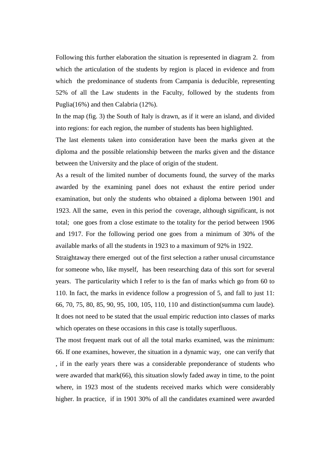Following this further elaboration the situation is represented in diagram 2. from which the articulation of the students by region is placed in evidence and from which the predominance of students from Campania is deducible, representing 52% of all the Law students in the Faculty, followed by the students from Puglia(16%) and then Calabria (12%).

In the map (fig. 3) the South of Italy is drawn, as if it were an island, and divided into regions: for each region, the number of students has been highlighted.

The last elements taken into consideration have been the marks given at the diploma and the possible relationship between the marks given and the distance between the University and the place of origin of the student.

As a result of the limited number of documents found, the survey of the marks awarded by the examining panel does not exhaust the entire period under examination, but only the students who obtained a diploma between 1901 and 1923. All the same, even in this period the coverage, although significant, is not total; one goes from a close estimate to the totality for the period between 1906 and 1917. For the following period one goes from a minimum of 30% of the available marks of all the students in 1923 to a maximum of 92% in 1922.

Straightaway there emerged out of the first selection a rather unusal circumstance for someone who, like myself, has been researching data of this sort for several years. The particularity which I refer to is the fan of marks which go from 60 to 110. In fact, the marks in evidence follow a progression of 5, and fall to just 11: 66, 70, 75, 80, 85, 90, 95, 100, 105, 110, 110 and distinction(summa cum laude). It does not need to be stated that the usual empiric reduction into classes of marks which operates on these occasions in this case is totally superfluous.

The most frequent mark out of all the total marks examined, was the minimum: 66. If one examines, however, the situation in a dynamic way, one can verify that , if in the early years there was a considerable preponderance of students who were awarded that mark(66), this situation slowly faded away in time, to the point where, in 1923 most of the students received marks which were considerably higher. In practice, if in 1901 30% of all the candidates examined were awarded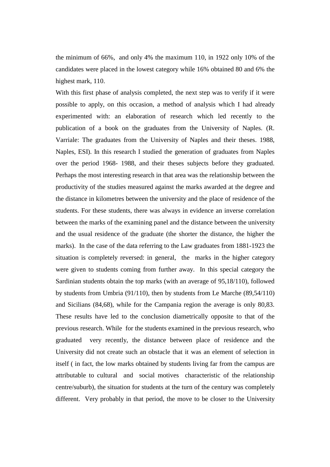the minimum of 66%, and only 4% the maximum 110, in 1922 only 10% of the candidates were placed in the lowest category while 16% obtained 80 and 6% the highest mark, 110.

With this first phase of analysis completed, the next step was to verify if it were possible to apply, on this occasion, a method of analysis which I had already experimented with: an elaboration of research which led recently to the publication of a book on the graduates from the University of Naples. (R. Varriale: The graduates from the University of Naples and their theses. 1988, Naples, ESI). In this research I studied the generation of graduates from Naples over the period 1968- 1988, and their theses subjects before they graduated. Perhaps the most interesting research in that area was the relationship between the productivity of the studies measured against the marks awarded at the degree and the distance in kilometres between the university and the place of residence of the students. For these students, there was always in evidence an inverse correlation between the marks of the examining panel and the distance between the university and the usual residence of the graduate (the shorter the distance, the higher the marks). In the case of the data referring to the Law graduates from 1881-1923 the situation is completely reversed: in general, the marks in the higher category were given to students coming from further away. In this special category the Sardinian students obtain the top marks (with an average of 95,18/110), followed by students from Umbria (91/110), then by students from Le Marche (89,54/110) and Sicilians (84,68), while for the Campania region the average is only 80,83. These results have led to the conclusion diametrically opposite to that of the previous research. While for the students examined in the previous research, who graduated very recently, the distance between place of residence and the University did not create such an obstacle that it was an element of selection in itself ( in fact, the low marks obtained by students living far from the campus are attributable to cultural and social motives characteristic of the relationship centre/suburb), the situation for students at the turn of the century was completely different. Very probably in that period, the move to be closer to the University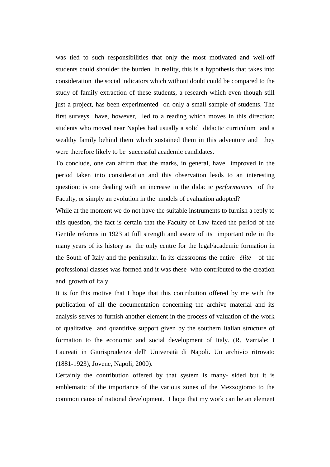was tied to such responsibilities that only the most motivated and well-off students could shoulder the burden. In reality, this is a hypothesis that takes into consideration the social indicators which without doubt could be compared to the study of family extraction of these students, a research which even though still just a project, has been experimented on only a small sample of students. The first surveys have, however, led to a reading which moves in this direction; students who moved near Naples had usually a solid didactic curriculum and a wealthy family behind them which sustained them in this adventure and they were therefore likely to be successful academic candidates.

To conclude, one can affirm that the marks, in general, have improved in the period taken into consideration and this observation leads to an interesting question: is one dealing with an increase in the didactic *performances* of the Faculty, or simply an evolution in the models of evaluation adopted?

While at the moment we do not have the suitable instruments to furnish a reply to this question, the fact is certain that the Faculty of Law faced the period of the Gentile reforms in 1923 at full strength and aware of its important role in the many years of its history as the only centre for the legal/academic formation in the South of Italy and the peninsular. In its classrooms the entire *élite* of the professional classes was formed and it was these who contributed to the creation and growth of Italy.

It is for this motive that I hope that this contribution offered by me with the publication of all the documentation concerning the archive material and its analysis serves to furnish another element in the process of valuation of the work of qualitative and quantitive support given by the southern Italian structure of formation to the economic and social development of Italy. (R. Varriale: I Laureati in Giurisprudenza dell' Università di Napoli. Un archivio ritrovato (1881-1923), Jovene, Napoli, 2000).

Certainly the contribution offered by that system is many- sided but it is emblematic of the importance of the various zones of the Mezzogiorno to the common cause of national development. I hope that my work can be an element